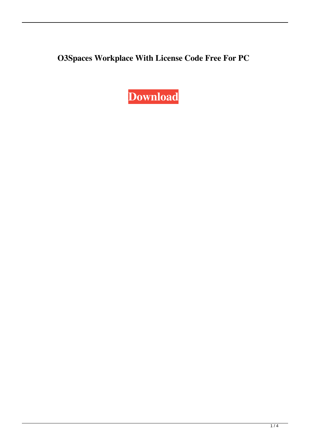**O3Spaces Workplace With License Code Free For PC**

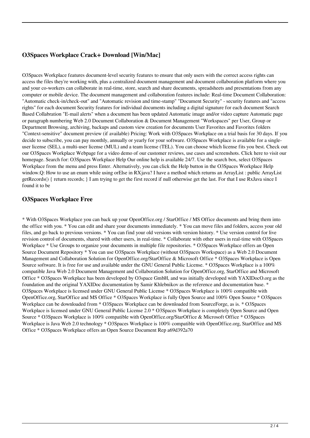# **O3Spaces Workplace Crack+ Download [Win/Mac]**

O3Spaces Workplace features document-level security features to ensure that only users with the correct access rights can access the files they're working with, plus a centralized document management and document collaboration platform where you and your co-workers can collaborate in real-time, store, search and share documents, spreadsheets and presentations from any computer or mobile device. The document management and collaboration features include: Real-time Document Collaboration: "Automatic check-in/check-out" and "Automatic revision and time-stamp" "Document Security" - security features and "access rights" for each document Security features for individual documents including a digital signature for each document Search Based Collabration "E-mail alerts" when a document has been updated Automatic image and/or video capture Automatic page or paragraph numbering Web 2.0 Document Collaboration & Document Management "Workspaces" per User, Group or Department Browsing, archiving, backups and custom view creation for documents User Favorites and Favorites folders "Context-sensitive" document preview (if available) Pricing: Work with O3Spaces Workplace on a trial basis for 30 days. If you decide to subscribe, you can pay monthly, annually or yearly for your software. O3Spaces Workplace is available for a singleuser license (SEL), a multi-user license (MUL) and a team license (TEL). You can choose which license fits you best. Check out our O3Spaces Workplace Webpage for a video demo of our customer reviews, use cases and screenshots. Click here to visit our homepage. Search for: O3Spaces Workplace Help Our online help is available 24/7. Use the search box, select O3Spaces Workplace from the menu and press Enter. Alternatively, you can click the Help button in the O3Spaces Workplace Help window.Q: How to use an enum while using orElse in RXjava? I have a method which returns an ArrayList : public ArrayList getRecords() { return records; } I am trying to get the first record if null otherwise get the last. For that I use RxJava since I found it to be

### **O3Spaces Workplace Free**

\* With O3Spaces Workplace you can back up your OpenOffice.org / StarOffice / MS Office documents and bring them into the office with you. \* You can edit and share your documents immediately. \* You can move files and folders, access your old files, and go back to previous versions. \* You can find your old versions with version history. \* Use version control for live revision control of documents, shared with other users, in real-time. \* Collaborate with other users in real-time with O3Spaces Workplace \* Use Groups to organize your documents in multiple file repositories. \* O3Spaces Workplace offers an Open Source Document Repository \* You can use O3Spaces Workplace (without O3Spaces Workspace) as a Web 2.0 Document Management and Collaboration Solution for OpenOffice.org/StarOffice & Microsoft Office \* O3Spaces Workplace is Open Source software. It is free for use and available under the GNU General Public License. \* O3Spaces Workplace is a 100% compatible Java Web 2.0 Document Management and Collaboration Solution for OpenOffice.org, StarOffice and Microsoft Office \* O3Spaces Workplace has been developed by O3space GmbH, and was initially developed with YAXIDocO.org as the foundation and the original YAXIDoc documentation by Samir Khlebnikov as the reference and documentation base. \* O3Spaces Workplace is licensed under GNU General Public License \* O3Spaces Workplace is 100% compatible with OpenOffice.org, StarOffice and MS Office \* O3Spaces Workplace is fully Open Source and 100% Open Source \* O3Spaces Workplace can be downloaded from \* O3Spaces Workplace can be downloaded from SourceForge, as is. \* O3Spaces Workplace is licensed under GNU General Public License 2.0 \* O3Spaces Workplace is completely Open Source and Open Source \* O3Spaces Workplace is 100% compatible with OpenOffice.org/StarOffice & Microsoft Office \* O3Spaces Workplace is Java Web 2.0 technology \* O3Spaces Workplace is 100% compatible with OpenOffice.org, StarOffice and MS Office \* O3Spaces Workplace offers an Open Source Document Rep a69d392a70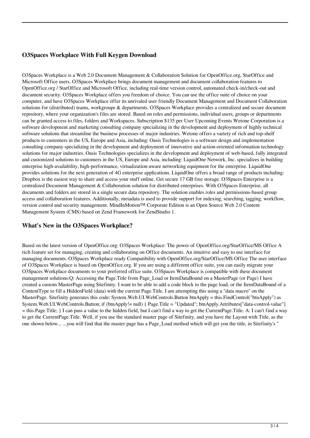# **O3Spaces Workplace With Full Keygen Download**

O3Spaces Workplace is a Web 2.0 Document Management & Collaboration Solution for OpenOffice.org, StarOffice and Microsoft Office users. O3Spaces Workplace brings document management and document collaboration features to OpenOffice.org / StarOffice and Microsoft Office, including real-time version control, automated check-in/check-out and document security. O3Spaces Workplace offers you freedom of choice. You can use the office suite of choice on your computer, and have O3Spaces Workplace offer its unrivaled user friendly Document Management and Document Collaboration solutions for (distributed) teams, workgroups & departments. O3Spaces Workplace provides a centralized and secure document repository, where your organization's files are stored. Based on roles and permissions, individual users, groups or departments can be granted access to files, folders and Workspaces. Subscription \$135 per User Upcoming Events Wetone Corporation is a software development and marketing consulting company specializing in the development and deployment of highly technical software solutions that streamline the business processes of major industries. Wetone offers a variety of rich and top-shelf products to customers in the US, Europe and Asia, including: Oasis Technologies is a software design and implementation consulting company specializing in the development and deployment of innovative and action-oriented information technology solutions for major industries. Oasis Technologies specializes in the development and deployment of web-based, fully integrated and customized solutions to customers in the US, Europe and Asia, including: LiquidOne Network, Inc. specializes in building enterprise high-availability, high-performance, virtualization-aware networking equipment for the enterprise. LiquidOne provides solutions for the next generation of 4G enterprise applications. LiquidOne offers a broad range of products including: Dropbox is the easiest way to share and access your stuff online. Get secure 17 GB free storage. O3Spaces Enterprise is a centralized Document Management & Collaboration solution for distributed enterprises. With O3Spaces Enterprise, all documents and folders are stored in a single secure data repository. The solution enables roles and permissions-based group access and collaboration features. Additionally, metadata is used to provide support for indexing, searching, tagging, workflow, version control and security management. MindInMotion™ Corporate Edition is an Open Source Web 2.0 Content Management System (CMS) based on Zend Framework for ZendStudio 1.

### **What's New in the O3Spaces Workplace?**

Based on the latest version of OpenOffice.org: O3Spaces Workplace: The power of OpenOffice.org/StarOffice/MS Office A rich feature set for managing, creating and collaborating on Office documents. An intuitive and easy to use interface for managing documents. O3Spaces Workplace ready Compatibility with OpenOffice.org/StarOffice/MS Office The user interface of O3Spaces Workplace is based on OpenOffice.org. If you are using a different office suite, you can easily migrate your O3Spaces Workplace documents to your preferred office suite. O3Spaces Workplace is compatible with these document management solutions: Q: Accessing the Page. Title from Page\_Load or ItemDataBound on a MasterPage (or Page) I have created a custom MasterPage using Sitefinity. I want to be able to add a code block to the page load, or the ItemDataBound of a ContentType to fill a HiddenField (data) with the current Page.Title. I am attempting this using a "data macro" on the MasterPage. Sitefinity generates this code: System.Web.UI.WebControls.Button btnApply = this.FindControl("btnApply") as System.Web.UI.WebControls.Button; if (btnApply!= null) { Page.Title = "Updated"; btnApply.Attributes["data-control-value"] = this.Page.Title; } I can pass a value to the hidden field, but I can't find a way to get the CurrentPage.Title. A: I can't find a way to get the CurrentPage.Title. Well, if you use the standard master page of Sitefinity, and you have the Layout with Title, as the one shown below... ...you will find that the master page has a Page Load method which will get you the title, in Sitefinity's "